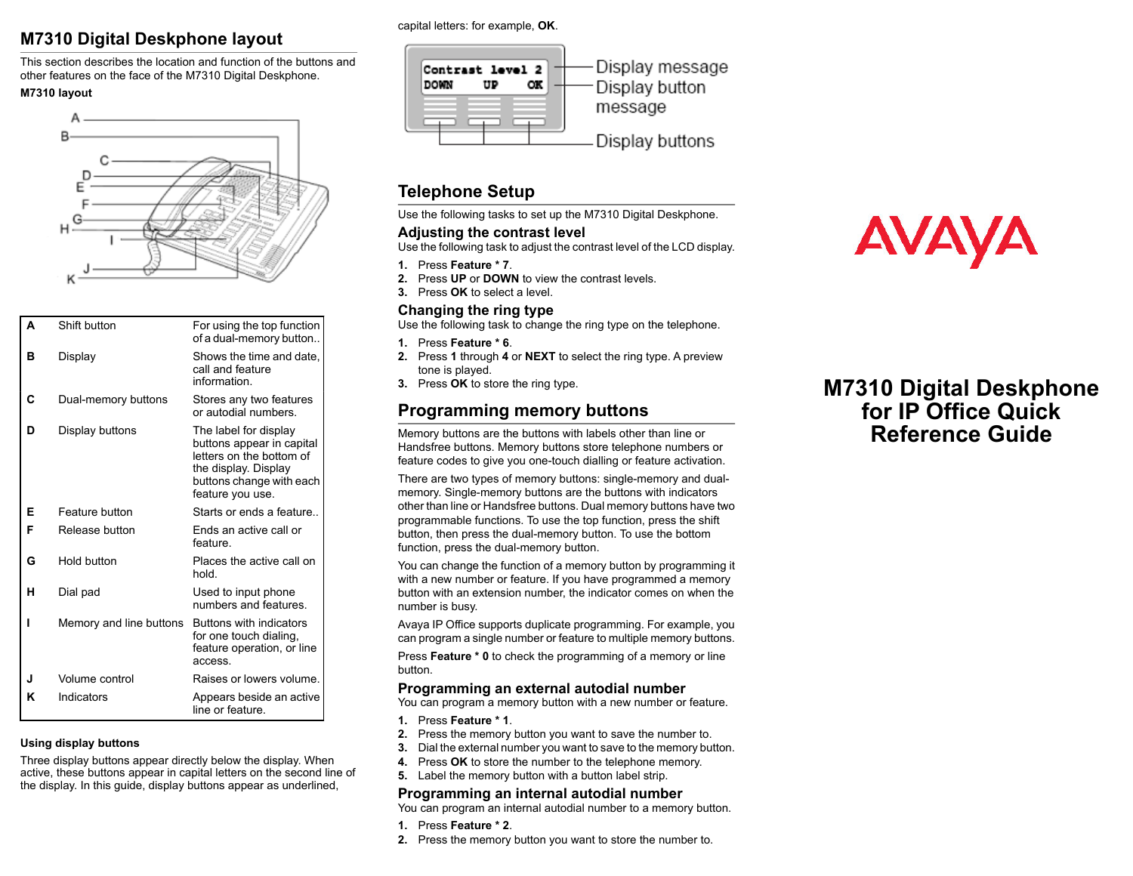## **M7310 Digital Deskphone layout**

This section describes the location and function of the buttons and other features on the face of the M7310 Digital Deskphone.

#### **M7310 layout**



| Δ | Shift button            | For using the top function<br>of a dual-memory button                                                                                                  |
|---|-------------------------|--------------------------------------------------------------------------------------------------------------------------------------------------------|
| R | Display                 | Shows the time and date,<br>call and feature<br>information.                                                                                           |
| C | Dual-memory buttons     | Stores any two features<br>or autodial numbers                                                                                                         |
| n | Display buttons         | The label for display<br>buttons appear in capital<br>letters on the bottom of<br>the display. Display<br>buttons change with each<br>feature you use. |
| Е | Feature button          | Starts or ends a feature                                                                                                                               |
| F | Release button          | Ends an active call or<br>feature.                                                                                                                     |
| G | Hold button             | Places the active call on<br>hold.                                                                                                                     |
| н | Dial pad                | Used to input phone<br>numbers and features.                                                                                                           |
| ı | Memory and line buttons | Buttons with indicators<br>for one touch dialing.<br>feature operation, or line<br>access.                                                             |
| J | Volume control          | Raises or lowers volume.                                                                                                                               |
| ĸ | Indicators              | Appears beside an active<br>line or feature                                                                                                            |

#### **Using display buttons**

Three display buttons appear directly below the display. When active, these buttons appear in capital letters on the second line of the display. In this guide, display buttons appear as underlined,

capital letters: for example, **OK**.



## **Telephone Setup**

Use the following tasks to set up the M7310 Digital Deskphone.

#### **Adjusting the contrast level**

Use the following task to adjust the contrast level of the LCD display.

- **1.** Press **Feature \* 7**.
- **2.** Press **UP** or **DOWN** to view the contrast levels.
- **3.** Press **OK** to select a level.

#### **Changing the ring type**

Use the following task to change the ring type on the telephone.

- **1.** Press **Feature \* 6**.
- **2.** Press **1** through **4** or **NEXT** to select the ring type. A preview tone is played.
- **3.** Press **OK** to store the ring type.

## **Programming memory buttons**

Memory buttons are the buttons with labels other than line or Handsfree buttons. Memory buttons store telephone numbers or feature codes to give you one-touch dialling or feature activation.

There are two types of memory buttons: single-memory and dualmemory. Single-memory buttons are the buttons with indicators other than line or Handsfree buttons. Dual memory buttons have two programmable functions. To use the top function, press the shift button, then press the dual-memory button. To use the bottom function, press the dual-memory button.

You can change the function of a memory button by programming it with a new number or feature. If you have programmed a memory button with an extension number, the indicator comes on when the number is busy.

Avaya IP Office supports duplicate programming. For example, you can program a single number or feature to multiple memory buttons.

Press **Feature \* 0** to check the programming of a memory or line button.

#### **Programming an external autodial number**

You can program a memory button with a new number or feature.

- **1.** Press **Feature \* 1**.
- **2.** Press the memory button you want to save the number to.
- **3.** Dial the external number you want to save to the memory button.
- **4.** Press **OK** to store the number to the telephone memory.
- **5.** Label the memory button with a button label strip.

#### **Programming an internal autodial number**

You can program an internal autodial number to a memory button.

- **1.** Press **Feature \* 2**.
- **2.** Press the memory button you want to store the number to.



# **M7310 Digital Deskphone for IP Office Quick Reference Guide**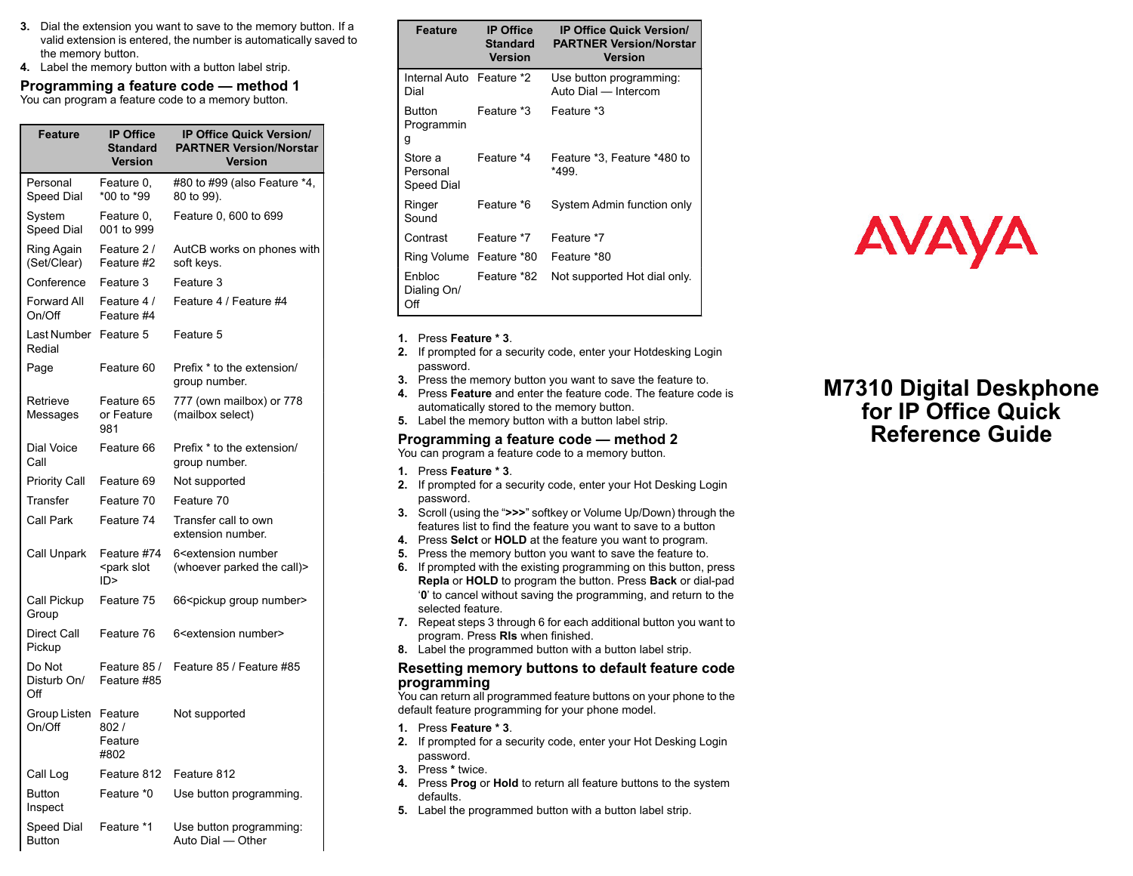- **3.** Dial the extension you want to save to the memory button. If a valid extension is entered, the number is automatically saved to the memory button.
- **4.** Label the memory button with a button label strip.

**Programming a feature code — method 1** You can program a feature code to a memory button.

| Feature                      | <b>IP Office</b><br><b>Standard</b><br><b>Version</b> | <b>IP Office Quick Version/</b><br><b>PARTNER Version/Norstar</b><br><b>Version</b> |
|------------------------------|-------------------------------------------------------|-------------------------------------------------------------------------------------|
| Personal<br>Speed Dial       | Feature 0,<br>*00 to *99                              | #80 to #99 (also Feature *4,<br>80 to 99).                                          |
| System<br>Speed Dial         | Feature 0,<br>001 to 999                              | Feature 0, 600 to 699                                                               |
| Ring Again<br>(Set/Clear)    | Feature 2 /<br>Feature #2                             | AutCB works on phones with<br>soft keys.                                            |
| Conference                   | Feature 3                                             | Feature 3                                                                           |
| Forward All<br>On/Off        | Feature 4 /<br>Feature #4                             | Feature 4 / Feature #4                                                              |
| Last Number<br>Redial        | Feature 5                                             | Feature 5                                                                           |
| Page                         | Feature 60                                            | Prefix * to the extension/<br>group number.                                         |
| Retrieve<br>Messages         | Feature 65<br>or Feature<br>981                       | 777 (own mailbox) or 778<br>(mailbox select)                                        |
| Dial Voice<br>Call           | Feature 66                                            | Prefix * to the extension/<br>group number.                                         |
| Priority Call                | Feature 69                                            | Not supported                                                                       |
| Transfer                     | Feature 70                                            | Feature 70                                                                          |
| Call Park                    | Feature 74                                            | Transfer call to own<br>extension number.                                           |
| Call Unpark                  | Feature #74<br><park slot<br="">ID &gt;</park>        | 6 <extension number<br="">(whoever parked the call)&gt;</extension>                 |
| Call Pickup<br>Group         | Feature 75                                            | 66 <pickup group="" number=""></pickup>                                             |
| <b>Direct Call</b><br>Pickup | Feature 76                                            | 6 <extension number=""></extension>                                                 |
| Do Not<br>Disturb On/<br>Ωff | Feature 85 /<br>Feature #85                           | Feature 85 / Feature #85                                                            |
| Group Listen<br>On/Off       | Feature<br>802/<br>Feature<br>#802                    | Not supported                                                                       |
| Call Log                     | Feature 812                                           | Feature 812                                                                         |
| <b>Button</b><br>Inspect     | Feature *0                                            | Use button programming.                                                             |
| Speed Dial<br>Button         | Feature *1                                            | Use button programming:<br>Auto Dial - Other                                        |

| <b>Feature</b>                    | <b>IP Office</b><br><b>Standard</b><br><b>Version</b> | <b>IP Office Quick Version/</b><br><b>PARTNER Version/Norstar</b><br><b>Version</b> |
|-----------------------------------|-------------------------------------------------------|-------------------------------------------------------------------------------------|
| Internal Auto Feature *2<br>Dial  |                                                       | Use button programming:<br>Auto Dial - Intercom                                     |
| Button<br>Programmin<br>g         | Feature *3                                            | Feature *3                                                                          |
| Store a<br>Personal<br>Speed Dial | Feature *4                                            | Feature *3, Feature *480 to<br>*499.                                                |
| Ringer<br>Sound                   | Feature *6                                            | System Admin function only                                                          |
| Contrast                          | Feature *7                                            | Feature *7                                                                          |
| Ring Volume Feature *80           |                                                       | Feature *80                                                                         |
| Enbloc<br>Dialing On/<br>Off      | Feature *82                                           | Not supported Hot dial only.                                                        |

#### **1.** Press **Feature \* 3**.

- **2.** If prompted for a security code, enter your Hotdesking Login password.
- **3.** Press the memory button you want to save the feature to.
- **4.** Press **Feature** and enter the feature code. The feature code is automatically stored to the memory button.
- **5.** Label the memory button with a button label strip.

#### **Programming a feature code — method 2**

You can program a feature code to a memory button.

- **1.** Press **Feature \* 3**.
- **2.** If prompted for a security code, enter your Hot Desking Login password.
- **3.** Scroll (using the "**>>>**" softkey or Volume Up/Down) through the features list to find the feature you want to save to a button
- **4.** Press **Selct** or **HOLD** at the feature you want to program.
- **5.** Press the memory button you want to save the feature to.
- **6.** If prompted with the existing programming on this button, press **Repla** or **HOLD** to program the button. Press **Back** or dial-pad '**0**' to cancel without saving the programming, and return to the selected feature.
- **7.** Repeat steps 3 through 6 for each additional button you want to program. Press **Rls** when finished.
- **8.** Label the programmed button with a button label strip.

#### **Resetting memory buttons to default feature code programming**

You can return all programmed feature buttons on your phone to the default feature programming for your phone model.

- **1.** Press **Feature \* 3**.
- **2.** If prompted for a security code, enter your Hot Desking Login password.
- **3.** Press **\*** twice.
- **4.** Press **Prog** or **Hold** to return all feature buttons to the system defaults.
- **5.** Label the programmed button with a button label strip.

# **AVAYA**

# **M7310 Digital Deskphone for IP Office Quick Reference Guide**